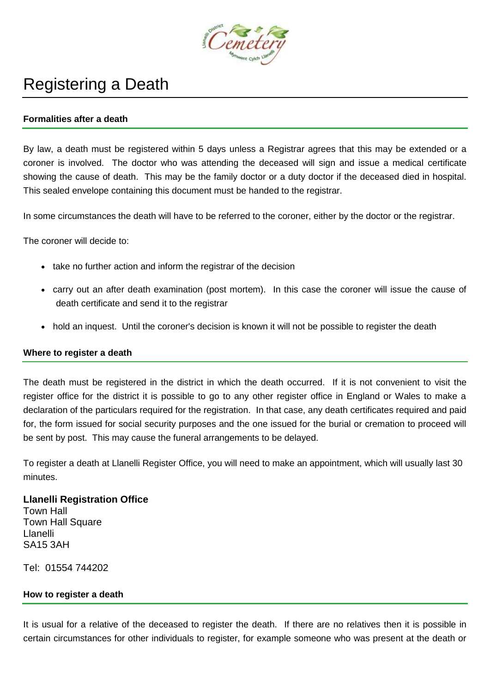

# Registering a Death

## **Formalities after a death**

By law, a death must be registered within 5 days unless a Registrar agrees that this may be extended or a coroner is involved. The doctor who was attending the deceased will sign and issue a medical certificate showing the cause of death. This may be the family doctor or a duty doctor if the deceased died in hospital. This sealed envelope containing this document must be handed to the registrar.

In some circumstances the death will have to be referred to the coroner, either by the doctor or the registrar.

The coroner will decide to:

- take no further action and inform the registrar of the decision
- carry out an after death examination (post mortem). In this case the coroner will issue the cause of death certificate and send it to the registrar
- hold an inquest. Until the coroner's decision is known it will not be possible to register the death

#### **Where to register a death**

The death must be registered in the district in which the death occurred. If it is not convenient to visit the register office for the district it is possible to go to any other register office in England or Wales to make a declaration of the particulars required for the registration. In that case, any death certificates required and paid for, the form issued for social security purposes and the one issued for the burial or cremation to proceed will be sent by post. This may cause the funeral arrangements to be delayed.

To register a death at Llanelli Register Office, you will need to make an appointment, which will usually last 30 minutes.

## **Llanelli Registration Office** Town Hall Town Hall Square Llanelli SA15 3AH

Tel: 01554 744202

#### **How to register a death**

It is usual for a relative of the deceased to register the death. If there are no relatives then it is possible in certain circumstances for other individuals to register, for example someone who was present at the death or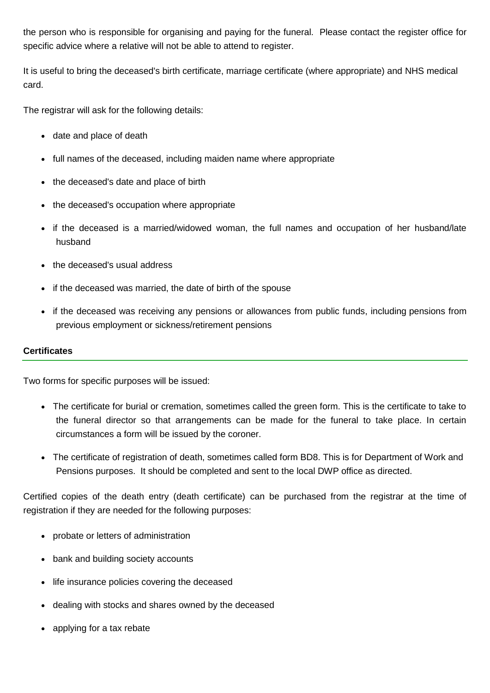the person who is responsible for organising and paying for the funeral. Please contact the register office for specific advice where a relative will not be able to attend to register.

It is useful to bring the deceased's birth certificate, marriage certificate (where appropriate) and NHS medical card.

The registrar will ask for the following details:

- date and place of death
- full names of the deceased, including maiden name where appropriate
- the deceased's date and place of birth
- the deceased's occupation where appropriate
- if the deceased is a married/widowed woman, the full names and occupation of her husband/late husband
- the deceased's usual address
- if the deceased was married, the date of birth of the spouse
- if the deceased was receiving any pensions or allowances from public funds, including pensions from previous employment or sickness/retirement pensions

## **Certificates**

Two forms for specific purposes will be issued:

- The certificate for burial or cremation, sometimes called the green form. This is the certificate to take to the funeral director so that arrangements can be made for the funeral to take place. In certain circumstances a form will be issued by the coroner.
- The certificate of registration of death, sometimes called form BD8. This is for Department of Work and Pensions purposes. It should be completed and sent to the local DWP office as directed.

Certified copies of the death entry (death certificate) can be purchased from the registrar at the time of registration if they are needed for the following purposes:

- probate or letters of administration
- bank and building society accounts
- life insurance policies covering the deceased
- dealing with stocks and shares owned by the deceased
- applying for a tax rebate